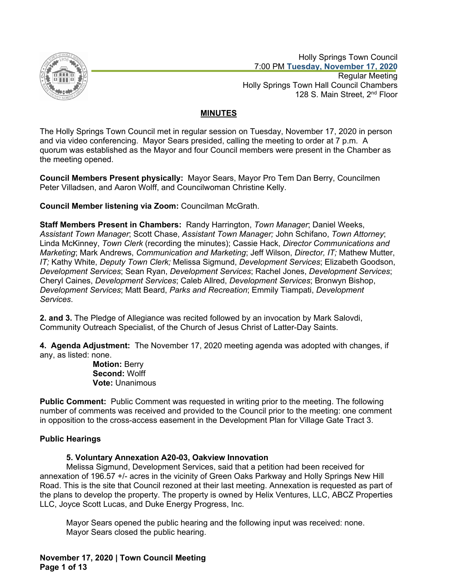

 Holly Springs Town Council 7:00 PM **Tuesday, November 17, 2020** Regular Meeting Holly Springs Town Hall Council Chambers 128 S. Main Street, 2<sup>nd</sup> Floor

# **MINUTES**

The Holly Springs Town Council met in regular session on Tuesday, November 17, 2020 in person and via video conferencing. Mayor Sears presided, calling the meeting to order at 7 p.m. A quorum was established as the Mayor and four Council members were present in the Chamber as the meeting opened.

**Council Members Present physically:** Mayor Sears, Mayor Pro Tem Dan Berry, Councilmen Peter Villadsen, and Aaron Wolff, and Councilwoman Christine Kelly.

**Council Member listening via Zoom:** Councilman McGrath.

**Staff Members Present in Chambers:** Randy Harrington, *Town Manager*; Daniel Weeks, *Assistant Town Manager*; Scott Chase, *Assistant Town Manager;* John Schifano, *Town Attorney*; Linda McKinney, *Town Clerk* (recording the minutes); Cassie Hack, *Director Communications and Marketing*; Mark Andrews, *Communication and Marketing*; Jeff Wilson, *Director, IT;* Mathew Mutter, *IT;* Kathy White, *Deputy Town Clerk;* Melissa Sigmund, *Development Services*; Elizabeth Goodson, *Development Services*; Sean Ryan, *Development Services*; Rachel Jones, *Development Services*; Cheryl Caines, *Development Services*; Caleb Allred, *Development Services*; Bronwyn Bishop, *Development Services*; Matt Beard, *Parks and Recreation*; Emmily Tiampati, *Development Services*.

**2. and 3.** The Pledge of Allegiance was recited followed by an invocation by Mark Salovdi, Community Outreach Specialist, of the Church of Jesus Christ of Latter-Day Saints.

**4. Agenda Adjustment:** The November 17, 2020 meeting agenda was adopted with changes, if any, as listed: none.

> **Motion:** Berry **Second:** Wolff **Vote:** Unanimous

**Public Comment:** Public Comment was requested in writing prior to the meeting. The following number of comments was received and provided to the Council prior to the meeting: one comment in opposition to the cross-access easement in the Development Plan for Village Gate Tract 3.

# **Public Hearings**

# **5. Voluntary Annexation A20-03, Oakview Innovation**

Melissa Sigmund, Development Services, said that a petition had been received for annexation of 196.57 +/- acres in the vicinity of Green Oaks Parkway and Holly Springs New Hill Road. This is the site that Council rezoned at their last meeting. Annexation is requested as part of the plans to develop the property. The property is owned by Helix Ventures, LLC, ABCZ Properties LLC, Joyce Scott Lucas, and Duke Energy Progress, Inc.

Mayor Sears opened the public hearing and the following input was received: none. Mayor Sears closed the public hearing.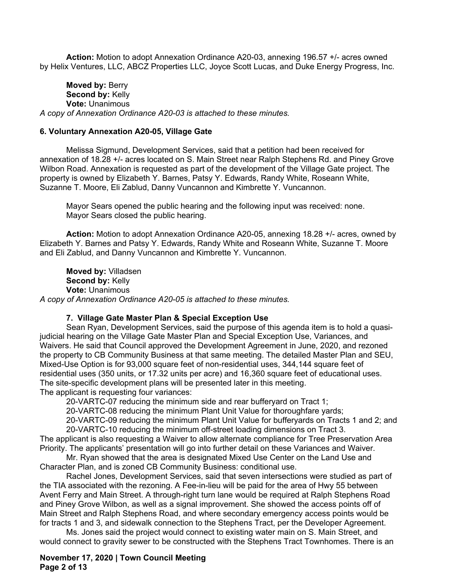**Action:** Motion to adopt Annexation Ordinance A20-03, annexing 196.57 +/- acres owned by Helix Ventures, LLC, ABCZ Properties LLC, Joyce Scott Lucas, and Duke Energy Progress, Inc.

**Moved by:** Berry **Second by:** Kelly **Vote:** Unanimous *A copy of Annexation Ordinance A20-03 is attached to these minutes.*

### **6. Voluntary Annexation A20-05, Village Gate**

Melissa Sigmund, Development Services, said that a petition had been received for annexation of 18.28 +/- acres located on S. Main Street near Ralph Stephens Rd. and Piney Grove Wilbon Road. Annexation is requested as part of the development of the Village Gate project. The property is owned by Elizabeth Y. Barnes, Patsy Y. Edwards, Randy White, Roseann White, Suzanne T. Moore, Eli Zablud, Danny Vuncannon and Kimbrette Y. Vuncannon.

Mayor Sears opened the public hearing and the following input was received: none. Mayor Sears closed the public hearing.

**Action:** Motion to adopt Annexation Ordinance A20-05, annexing 18.28 +/- acres, owned by Elizabeth Y. Barnes and Patsy Y. Edwards, Randy White and Roseann White, Suzanne T. Moore and Eli Zablud, and Danny Vuncannon and Kimbrette Y. Vuncannon.

**Moved by:** Villadsen **Second by:** Kelly **Vote:** Unanimous *A copy of Annexation Ordinance A20-05 is attached to these minutes.*

### **7. Village Gate Master Plan & Special Exception Use**

Sean Ryan, Development Services, said the purpose of this agenda item is to hold a quasijudicial hearing on the Village Gate Master Plan and Special Exception Use, Variances, and Waivers. He said that Council approved the Development Agreement in June, 2020, and rezoned the property to CB Community Business at that same meeting. The detailed Master Plan and SEU, Mixed-Use Option is for 93,000 square feet of non-residential uses, 344,144 square feet of residential uses (350 units, or 17.32 units per acre) and 16,360 square feet of educational uses. The site-specific development plans will be presented later in this meeting. The applicant is requesting four variances:

20-VARTC-07 reducing the minimum side and rear bufferyard on Tract 1;

20-VARTC-08 reducing the minimum Plant Unit Value for thoroughfare yards;

20-VARTC-09 reducing the minimum Plant Unit Value for bufferyards on Tracts 1 and 2; and

20-VARTC-10 reducing the minimum off-street loading dimensions on Tract 3.

The applicant is also requesting a Waiver to allow alternate compliance for Tree Preservation Area Priority. The applicants' presentation will go into further detail on these Variances and Waiver.

Mr. Ryan showed that the area is designated Mixed Use Center on the Land Use and Character Plan, and is zoned CB Community Business: conditional use.

Rachel Jones, Development Services, said that seven intersections were studied as part of the TIA associated with the rezoning. A Fee-in-lieu will be paid for the area of Hwy 55 between Avent Ferry and Main Street. A through-right turn lane would be required at Ralph Stephens Road and Piney Grove Wilbon, as well as a signal improvement. She showed the access points off of Main Street and Ralph Stephens Road, and where secondary emergency access points would be for tracts 1 and 3, and sidewalk connection to the Stephens Tract, per the Developer Agreement.

Ms. Jones said the project would connect to existing water main on S. Main Street, and would connect to gravity sewer to be constructed with the Stephens Tract Townhomes. There is an

### **November 17, 2020 | Town Council Meeting Page 2 of 13**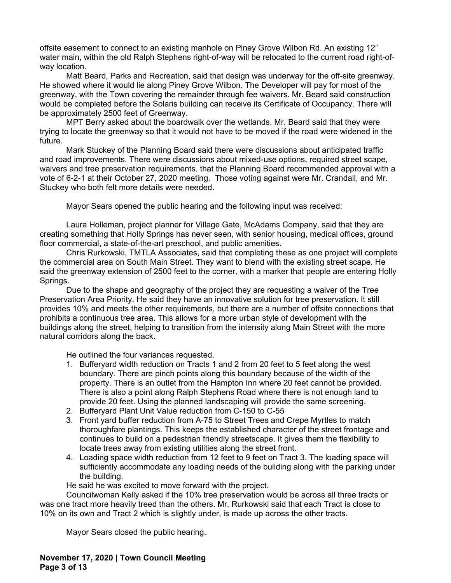offsite easement to connect to an existing manhole on Piney Grove Wilbon Rd. An existing 12" water main, within the old Ralph Stephens right-of-way will be relocated to the current road right-ofway location.

Matt Beard, Parks and Recreation, said that design was underway for the off-site greenway. He showed where it would lie along Piney Grove Wilbon. The Developer will pay for most of the greenway, with the Town covering the remainder through fee waivers. Mr. Beard said construction would be completed before the Solaris building can receive its Certificate of Occupancy. There will be approximately 2500 feet of Greenway.

MPT Berry asked about the boardwalk over the wetlands. Mr. Beard said that they were trying to locate the greenway so that it would not have to be moved if the road were widened in the future.

Mark Stuckey of the Planning Board said there were discussions about anticipated traffic and road improvements. There were discussions about mixed-use options, required street scape, waivers and tree preservation requirements. that the Planning Board recommended approval with a vote of 6-2-1 at their October 27, 2020 meeting. Those voting against were Mr. Crandall, and Mr. Stuckey who both felt more details were needed.

Mayor Sears opened the public hearing and the following input was received:

Laura Holleman, project planner for Village Gate, McAdams Company, said that they are creating something that Holly Springs has never seen, with senior housing, medical offices, ground floor commercial, a state-of-the-art preschool, and public amenities.

Chris Rurkowski, TMTLA Associates, said that completing these as one project will complete the commercial area on South Main Street. They want to blend with the existing street scape. He said the greenway extension of 2500 feet to the corner, with a marker that people are entering Holly Springs.

Due to the shape and geography of the project they are requesting a waiver of the Tree Preservation Area Priority. He said they have an innovative solution for tree preservation. It still provides 10% and meets the other requirements, but there are a number of offsite connections that prohibits a continuous tree area. This allows for a more urban style of development with the buildings along the street, helping to transition from the intensity along Main Street with the more natural corridors along the back.

He outlined the four variances requested.

- 1. Bufferyard width reduction on Tracts 1 and 2 from 20 feet to 5 feet along the west boundary. There are pinch points along this boundary because of the width of the property. There is an outlet from the Hampton Inn where 20 feet cannot be provided. There is also a point along Ralph Stephens Road where there is not enough land to provide 20 feet. Using the planned landscaping will provide the same screening.
- 2. Bufferyard Plant Unit Value reduction from C-150 to C-55
- 3. Front yard buffer reduction from A-75 to Street Trees and Crepe Myrtles to match thoroughfare plantings. This keeps the established character of the street frontage and continues to build on a pedestrian friendly streetscape. It gives them the flexibility to locate trees away from existing utilities along the street front.
- 4. Loading space width reduction from 12 feet to 9 feet on Tract 3. The loading space will sufficiently accommodate any loading needs of the building along with the parking under the building.

He said he was excited to move forward with the project.

Councilwoman Kelly asked if the 10% tree preservation would be across all three tracts or was one tract more heavily treed than the others. Mr. Rurkowski said that each Tract is close to 10% on its own and Tract 2 which is slightly under, is made up across the other tracts.

Mayor Sears closed the public hearing.

**November 17, 2020 | Town Council Meeting Page 3 of 13**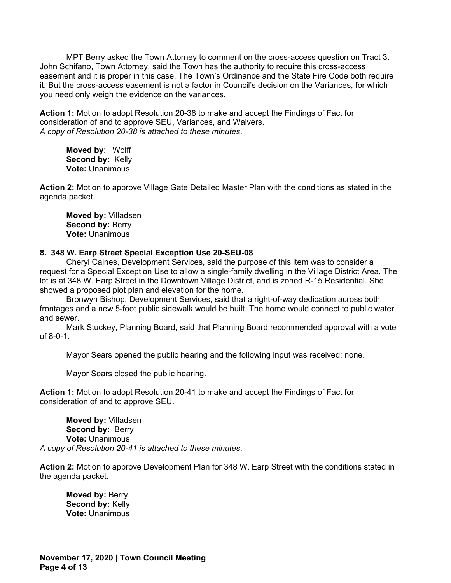MPT Berry asked the Town Attorney to comment on the cross-access question on Tract 3. John Schifano, Town Attorney, said the Town has the authority to require this cross-access easement and it is proper in this case. The Town's Ordinance and the State Fire Code both require it. But the cross-access easement is not a factor in Council's decision on the Variances, for which you need only weigh the evidence on the variances.

**Action 1:** Motion to adopt Resolution 20-38 to make and accept the Findings of Fact for consideration of and to approve SEU, Variances, and Waivers. *A copy of Resolution 20-38 is attached to these minutes*.

**Moved by**: Wolff **Second by:** Kelly **Vote:** Unanimous

**Action 2:** Motion to approve Village Gate Detailed Master Plan with the conditions as stated in the agenda packet.

**Moved by:** Villadsen **Second by: Berry Vote:** Unanimous

## **8. 348 W. Earp Street Special Exception Use 20-SEU-08**

Cheryl Caines, Development Services, said the purpose of this item was to consider a request for a Special Exception Use to allow a single-family dwelling in the Village District Area. The lot is at 348 W. Earp Street in the Downtown Village District, and is zoned R-15 Residential. She showed a proposed plot plan and elevation for the home.

Bronwyn Bishop, Development Services, said that a right-of-way dedication across both frontages and a new 5-foot public sidewalk would be built. The home would connect to public water and sewer.

Mark Stuckey, Planning Board, said that Planning Board recommended approval with a vote of 8-0-1.

Mayor Sears opened the public hearing and the following input was received: none.

Mayor Sears closed the public hearing.

**Action 1:** Motion to adopt Resolution 20-41 to make and accept the Findings of Fact for consideration of and to approve SEU.

**Moved by:** Villadsen Second by: Berry **Vote:** Unanimous *A copy of Resolution 20-41 is attached to these minutes*.

**Action 2:** Motion to approve Development Plan for 348 W. Earp Street with the conditions stated in the agenda packet.

**Moved by:** Berry **Second by:** Kelly **Vote:** Unanimous

**November 17, 2020 | Town Council Meeting Page 4 of 13**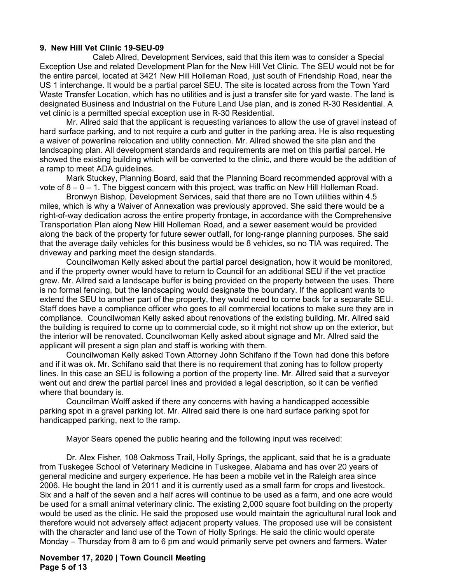# **9. New Hill Vet Clinic 19-SEU-09**

Caleb Allred, Development Services, said that this item was to consider a Special Exception Use and related Development Plan for the New Hill Vet Clinic. The SEU would not be for the entire parcel, located at 3421 New Hill Holleman Road, just south of Friendship Road, near the US 1 interchange. It would be a partial parcel SEU. The site is located across from the Town Yard Waste Transfer Location, which has no utilities and is just a transfer site for yard waste. The land is designated Business and Industrial on the Future Land Use plan, and is zoned R-30 Residential. A vet clinic is a permitted special exception use in R-30 Residential.

Mr. Allred said that the applicant is requesting variances to allow the use of gravel instead of hard surface parking, and to not require a curb and gutter in the parking area. He is also requesting a waiver of powerline relocation and utility connection. Mr. Allred showed the site plan and the landscaping plan. All development standards and requirements are met on this partial parcel. He showed the existing building which will be converted to the clinic, and there would be the addition of a ramp to meet ADA guidelines.

Mark Stuckey, Planning Board, said that the Planning Board recommended approval with a vote of  $8 - 0 - 1$ . The biggest concern with this project, was traffic on New Hill Holleman Road.

Bronwyn Bishop, Development Services, said that there are no Town utilities within 4.5 miles, which is why a Waiver of Annexation was previously approved. She said there would be a right-of-way dedication across the entire property frontage, in accordance with the Comprehensive Transportation Plan along New Hill Holleman Road, and a sewer easement would be provided along the back of the property for future sewer outfall, for long-range planning purposes. She said that the average daily vehicles for this business would be 8 vehicles, so no TIA was required. The driveway and parking meet the design standards.

Councilwoman Kelly asked about the partial parcel designation, how it would be monitored, and if the property owner would have to return to Council for an additional SEU if the vet practice grew. Mr. Allred said a landscape buffer is being provided on the property between the uses. There is no formal fencing, but the landscaping would designate the boundary. If the applicant wants to extend the SEU to another part of the property, they would need to come back for a separate SEU. Staff does have a compliance officer who goes to all commercial locations to make sure they are in compliance. Councilwoman Kelly asked about renovations of the existing building. Mr. Allred said the building is required to come up to commercial code, so it might not show up on the exterior, but the interior will be renovated. Councilwoman Kelly asked about signage and Mr. Allred said the applicant will present a sign plan and staff is working with them.

Councilwoman Kelly asked Town Attorney John Schifano if the Town had done this before and if it was ok. Mr. Schifano said that there is no requirement that zoning has to follow property lines. In this case an SEU is following a portion of the property line. Mr. Allred said that a surveyor went out and drew the partial parcel lines and provided a legal description, so it can be verified where that boundary is.

Councilman Wolff asked if there any concerns with having a handicapped accessible parking spot in a gravel parking lot. Mr. Allred said there is one hard surface parking spot for handicapped parking, next to the ramp.

Mayor Sears opened the public hearing and the following input was received:

Dr. Alex Fisher, 108 Oakmoss Trail, Holly Springs, the applicant, said that he is a graduate from Tuskegee School of Veterinary Medicine in Tuskegee, Alabama and has over 20 years of general medicine and surgery experience. He has been a mobile vet in the Raleigh area since 2006. He bought the land in 2011 and it is currently used as a small farm for crops and livestock. Six and a half of the seven and a half acres will continue to be used as a farm, and one acre would be used for a small animal veterinary clinic. The existing 2,000 square foot building on the property would be used as the clinic. He said the proposed use would maintain the agricultural rural look and therefore would not adversely affect adjacent property values. The proposed use will be consistent with the character and land use of the Town of Holly Springs. He said the clinic would operate Monday – Thursday from 8 am to 6 pm and would primarily serve pet owners and farmers. Water

### **November 17, 2020 | Town Council Meeting Page 5 of 13**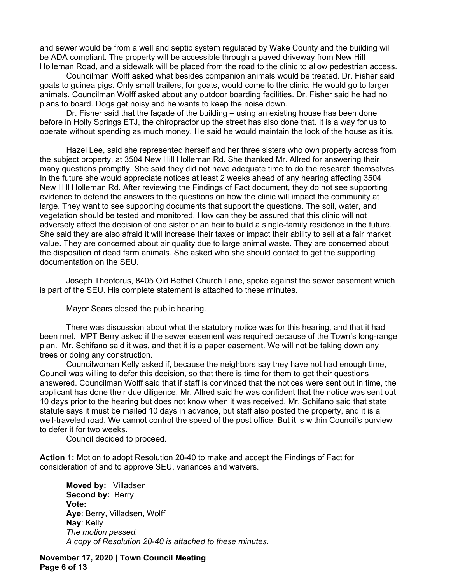and sewer would be from a well and septic system regulated by Wake County and the building will be ADA compliant. The property will be accessible through a paved driveway from New Hill Holleman Road, and a sidewalk will be placed from the road to the clinic to allow pedestrian access.

Councilman Wolff asked what besides companion animals would be treated. Dr. Fisher said goats to guinea pigs. Only small trailers, for goats, would come to the clinic. He would go to larger animals. Councilman Wolff asked about any outdoor boarding facilities. Dr. Fisher said he had no plans to board. Dogs get noisy and he wants to keep the noise down.

Dr. Fisher said that the façade of the building – using an existing house has been done before in Holly Springs ETJ, the chiropractor up the street has also done that. It is a way for us to operate without spending as much money. He said he would maintain the look of the house as it is.

Hazel Lee, said she represented herself and her three sisters who own property across from the subject property, at 3504 New Hill Holleman Rd. She thanked Mr. Allred for answering their many questions promptly. She said they did not have adequate time to do the research themselves. In the future she would appreciate notices at least 2 weeks ahead of any hearing affecting 3504 New Hill Holleman Rd. After reviewing the Findings of Fact document, they do not see supporting evidence to defend the answers to the questions on how the clinic will impact the community at large. They want to see supporting documents that support the questions. The soil, water, and vegetation should be tested and monitored. How can they be assured that this clinic will not adversely affect the decision of one sister or an heir to build a single-family residence in the future. She said they are also afraid it will increase their taxes or impact their ability to sell at a fair market value. They are concerned about air quality due to large animal waste. They are concerned about the disposition of dead farm animals. She asked who she should contact to get the supporting documentation on the SEU.

Joseph Theoforus, 8405 Old Bethel Church Lane, spoke against the sewer easement which is part of the SEU. His complete statement is attached to these minutes.

Mayor Sears closed the public hearing.

There was discussion about what the statutory notice was for this hearing, and that it had been met. MPT Berry asked if the sewer easement was required because of the Town's long-range plan. Mr. Schifano said it was, and that it is a paper easement. We will not be taking down any trees or doing any construction.

Councilwoman Kelly asked if, because the neighbors say they have not had enough time, Council was willing to defer this decision, so that there is time for them to get their questions answered. Councilman Wolff said that if staff is convinced that the notices were sent out in time, the applicant has done their due diligence. Mr. Allred said he was confident that the notice was sent out 10 days prior to the hearing but does not know when it was received. Mr. Schifano said that state statute says it must be mailed 10 days in advance, but staff also posted the property, and it is a well-traveled road. We cannot control the speed of the post office. But it is within Council's purview to defer it for two weeks.

Council decided to proceed.

**Action 1:** Motion to adopt Resolution 20-40 to make and accept the Findings of Fact for consideration of and to approve SEU, variances and waivers.

**Moved by:** Villadsen Second by: Berry **Vote: Aye**: Berry, Villadsen, Wolff **Nay**: Kelly *The motion passed. A copy of Resolution 20-40 is attached to these minutes*.

**November 17, 2020 | Town Council Meeting Page 6 of 13**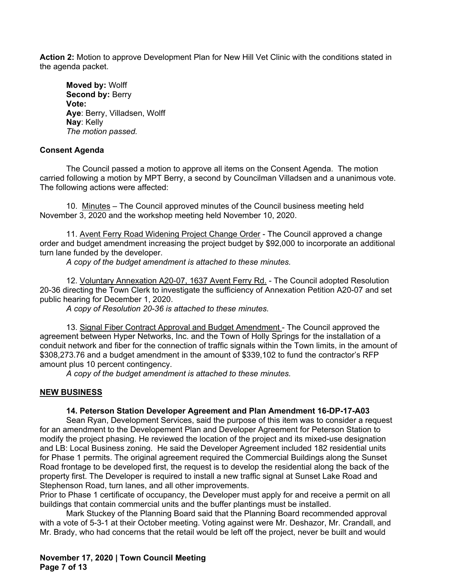**Action 2:** Motion to approve Development Plan for New Hill Vet Clinic with the conditions stated in the agenda packet.

**Moved by:** Wolff **Second by: Berry Vote: Aye**: Berry, Villadsen, Wolff **Nay**: Kelly *The motion passed.*

## **Consent Agenda**

The Council passed a motion to approve all items on the Consent Agenda. The motion carried following a motion by MPT Berry, a second by Councilman Villadsen and a unanimous vote. The following actions were affected:

10. Minutes – The Council approved minutes of the Council business meeting held November 3, 2020 and the workshop meeting held November 10, 2020.

11. Avent Ferry Road Widening Project Change Order - The Council approved a change order and budget amendment increasing the project budget by \$92,000 to incorporate an additional turn lane funded by the developer.

*A copy of the budget amendment is attached to these minutes.*

12. Voluntary Annexation A20-07, 1637 Avent Ferry Rd. - The Council adopted Resolution 20-36 directing the Town Clerk to investigate the sufficiency of Annexation Petition A20-07 and set public hearing for December 1, 2020.

*A copy of Resolution 20-36 is attached to these minutes.*

13. Signal Fiber Contract Approval and Budget Amendment - The Council approved the agreement between Hyper Networks, Inc. and the Town of Holly Springs for the installation of a conduit network and fiber for the connection of traffic signals within the Town limits, in the amount of \$308,273.76 and a budget amendment in the amount of \$339,102 to fund the contractor's RFP amount plus 10 percent contingency.

*A copy of the budget amendment is attached to these minutes.*

# **NEW BUSINESS**

# **14. Peterson Station Developer Agreement and Plan Amendment 16-DP-17-A03**

Sean Ryan, Development Services, said the purpose of this item was to consider a request for an amendment to the Developement Plan and Developer Agreement for Peterson Station to modify the project phasing. He reviewed the location of the project and its mixed-use designation and LB: Local Business zoning. He said the Developer Agreement included 182 residential units for Phase 1 permits. The original agreement required the Commercial Buildings along the Sunset Road frontage to be developed first, the request is to develop the residential along the back of the property first. The Developer is required to install a new traffic signal at Sunset Lake Road and Stephenson Road, turn lanes, and all other improvements.

Prior to Phase 1 certificate of occupancy, the Developer must apply for and receive a permit on all buildings that contain commercial units and the buffer plantings must be installed.

Mark Stuckey of the Planning Board said that the Planning Board recommended approval with a vote of 5-3-1 at their October meeting. Voting against were Mr. Deshazor, Mr. Crandall, and Mr. Brady, who had concerns that the retail would be left off the project, never be built and would

**November 17, 2020 | Town Council Meeting Page 7 of 13**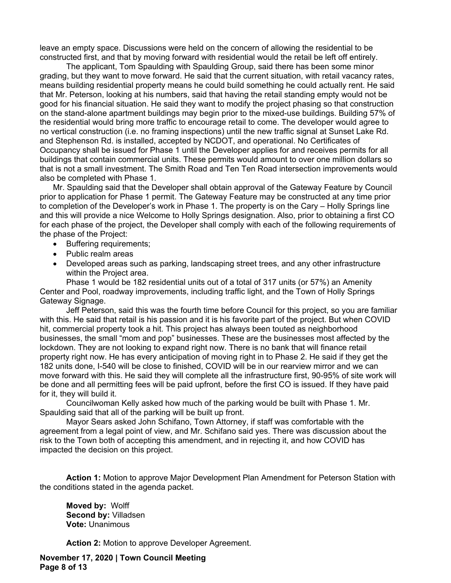leave an empty space. Discussions were held on the concern of allowing the residential to be constructed first, and that by moving forward with residential would the retail be left off entirely.

The applicant, Tom Spaulding with Spaulding Group, said there has been some minor grading, but they want to move forward. He said that the current situation, with retail vacancy rates, means building residential property means he could build something he could actually rent. He said that Mr. Peterson, looking at his numbers, said that having the retail standing empty would not be good for his financial situation. He said they want to modify the project phasing so that construction on the stand-alone apartment buildings may begin prior to the mixed-use buildings. Building 57% of the residential would bring more traffic to encourage retail to come. The developer would agree to no vertical construction (i.e. no framing inspections) until the new traffic signal at Sunset Lake Rd. and Stephenson Rd. is installed, accepted by NCDOT, and operational. No Certificates of Occupancy shall be issued for Phase 1 until the Developer applies for and receives permits for all buildings that contain commercial units. These permits would amount to over one million dollars so that is not a small investment. The Smith Road and Ten Ten Road intersection improvements would also be completed with Phase 1.

Mr. Spaulding said that the Developer shall obtain approval of the Gateway Feature by Council prior to application for Phase 1 permit. The Gateway Feature may be constructed at any time prior to completion of the Developer's work in Phase 1. The property is on the Cary – Holly Springs line and this will provide a nice Welcome to Holly Springs designation. Also, prior to obtaining a first CO for each phase of the project, the Developer shall comply with each of the following requirements of the phase of the Project:

- Buffering requirements:
- Public realm areas
- Developed areas such as parking, landscaping street trees, and any other infrastructure within the Project area.

Phase 1 would be 182 residential units out of a total of 317 units (or 57%) an Amenity Center and Pool, roadway improvements, including traffic light, and the Town of Holly Springs Gateway Signage.

Jeff Peterson, said this was the fourth time before Council for this project, so you are familiar with this. He said that retail is his passion and it is his favorite part of the project. But when COVID hit, commercial property took a hit. This project has always been touted as neighborhood businesses, the small "mom and pop" businesses. These are the businesses most affected by the lockdown. They are not looking to expand right now. There is no bank that will finance retail property right now. He has every anticipation of moving right in to Phase 2. He said if they get the 182 units done, I-540 will be close to finished, COVID will be in our rearview mirror and we can move forward with this. He said they will complete all the infrastructure first, 90-95% of site work will be done and all permitting fees will be paid upfront, before the first CO is issued. If they have paid for it, they will build it.

Councilwoman Kelly asked how much of the parking would be built with Phase 1. Mr. Spaulding said that all of the parking will be built up front.

Mayor Sears asked John Schifano, Town Attorney, if staff was comfortable with the agreement from a legal point of view, and Mr. Schifano said yes. There was discussion about the risk to the Town both of accepting this amendment, and in rejecting it, and how COVID has impacted the decision on this project.

**Action 1:** Motion to approve Major Development Plan Amendment for Peterson Station with the conditions stated in the agenda packet.

**Moved by:** Wolff **Second by:** Villadsen **Vote:** Unanimous

**Action 2:** Motion to approve Developer Agreement.

**November 17, 2020 | Town Council Meeting Page 8 of 13**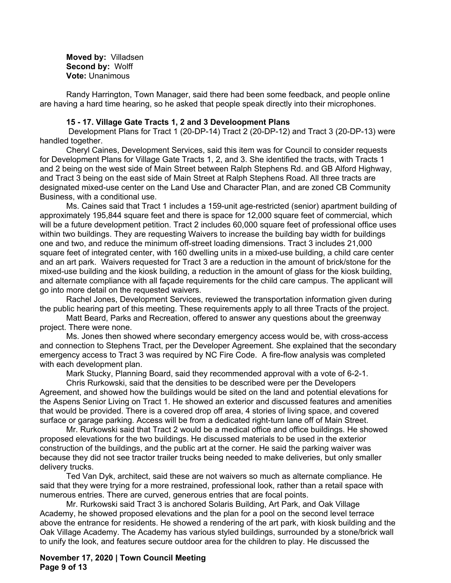**Moved by:** Villadsen **Second by:** Wolff **Vote:** Unanimous

Randy Harrington, Town Manager, said there had been some feedback, and people online are having a hard time hearing, so he asked that people speak directly into their microphones.

#### **15 - 17. Village Gate Tracts 1, 2 and 3 Develoopment Plans**

 Development Plans for Tract 1 (20-DP-14) Tract 2 (20-DP-12) and Tract 3 (20-DP-13) were handled together.

Cheryl Caines, Development Services, said this item was for Council to consider requests for Development Plans for Village Gate Tracts 1, 2, and 3. She identified the tracts, with Tracts 1 and 2 being on the west side of Main Street between Ralph Stephens Rd. and GB Alford Highway, and Tract 3 being on the east side of Main Street at Ralph Stephens Road. All three tracts are designated mixed-use center on the Land Use and Character Plan, and are zoned CB Community Business, with a conditional use.

Ms. Caines said that Tract 1 includes a 159-unit age-restricted (senior) apartment building of approximately 195,844 square feet and there is space for 12,000 square feet of commercial, which will be a future development petition. Tract 2 includes 60,000 square feet of professional office uses within two buildings. They are requesting Waivers to increase the building bay width for buildings one and two, and reduce the minimum off-street loading dimensions. Tract 3 includes 21,000 square feet of integrated center, with 160 dwelling units in a mixed-use building, a child care center and an art park. Waivers requested for Tract 3 are a reduction in the amount of brick/stone for the mixed-use building and the kiosk building, a reduction in the amount of glass for the kiosk building, and alternate compliance with all façade requirements for the child care campus. The applicant will go into more detail on the requested waivers.

Rachel Jones, Development Services, reviewed the transportation information given during the public hearing part of this meeting. These requirements apply to all three Tracts of the project.

Matt Beard, Parks and Recreation, offered to answer any questions about the greenway project. There were none.

Ms. Jones then showed where secondary emergency access would be, with cross-access and connection to Stephens Tract, per the Developer Agreement. She explained that the secondary emergency access to Tract 3 was required by NC Fire Code. A fire-flow analysis was completed with each development plan.

Mark Stucky, Planning Board, said they recommended approval with a vote of 6-2-1.

Chris Rurkowski, said that the densities to be described were per the Developers Agreement, and showed how the buildings would be sited on the land and potential elevations for the Aspens Senior Living on Tract 1. He showed an exterior and discussed features and amenities that would be provided. There is a covered drop off area, 4 stories of living space, and covered surface or garage parking. Access will be from a dedicated right-turn lane off of Main Street.

Mr. Rurkowski said that Tract 2 would be a medical office and office buildings. He showed proposed elevations for the two buildings. He discussed materials to be used in the exterior construction of the buildings, and the public art at the corner. He said the parking waiver was because they did not see tractor trailer trucks being needed to make deliveries, but only smaller delivery trucks.

Ted Van Dyk, architect, said these are not waivers so much as alternate compliance. He said that they were trying for a more restrained, professional look, rather than a retail space with numerous entries. There are curved, generous entries that are focal points.

Mr. Rurkowski said Tract 3 is anchored Solaris Building, Art Park, and Oak Village Academy, he showed proposed elevations and the plan for a pool on the second level terrace above the entrance for residents. He showed a rendering of the art park, with kiosk building and the Oak Village Academy. The Academy has various styled buildings, surrounded by a stone/brick wall to unify the look, and features secure outdoor area for the children to play. He discussed the

**November 17, 2020 | Town Council Meeting Page 9 of 13**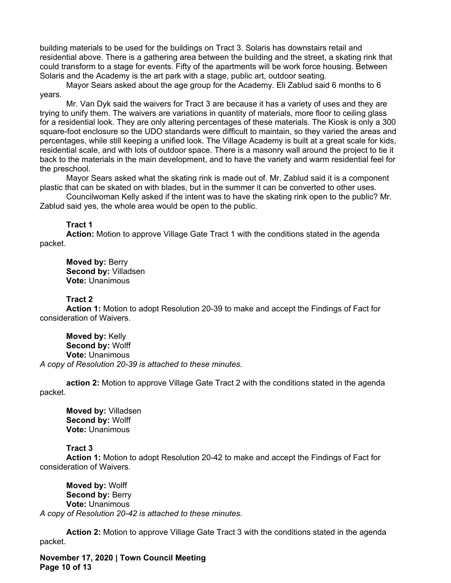building materials to be used for the buildings on Tract 3. Solaris has downstairs retail and residential above. There is a gathering area between the building and the street, a skating rink that could transform to a stage for events. Fifty of the apartments will be work force housing. Between Solaris and the Academy is the art park with a stage, public art, outdoor seating.

Mayor Sears asked about the age group for the Academy. Eli Zablud said 6 months to 6 years.

Mr. Van Dyk said the waivers for Tract 3 are because it has a variety of uses and they are trying to unify them. The waivers are variations in quantity of materials, more floor to ceiling glass for a residential look. They are only altering percentages of these materials. The Kiosk is only a 300 square-foot enclosure so the UDO standards were difficult to maintain, so they varied the areas and percentages, while still keeping a unified look. The Village Academy is built at a great scale for kids, residential scale, and with lots of outdoor space. There is a masonry wall around the project to tie it back to the materials in the main development, and to have the variety and warm residential feel for the preschool.

Mayor Sears asked what the skating rink is made out of. Mr. Zablud said it is a component plastic that can be skated on with blades, but in the summer it can be converted to other uses.

Councilwoman Kelly asked if the intent was to have the skating rink open to the public? Mr. Zablud said yes, the whole area would be open to the public.

#### **Tract 1**

**Action:** Motion to approve Village Gate Tract 1 with the conditions stated in the agenda packet.

**Moved by:** Berry **Second by:** Villadsen **Vote:** Unanimous

#### **Tract 2**

**Action 1:** Motion to adopt Resolution 20-39 to make and accept the Findings of Fact for consideration of Waivers.

**Moved by:** Kelly **Second by:** Wolff **Vote:** Unanimous *A copy of Resolution 20-39 is attached to these minutes.*

**action 2:** Motion to approve Village Gate Tract 2 with the conditions stated in the agenda packet.

**Moved by:** Villadsen **Second by:** Wolff **Vote:** Unanimous

#### **Tract 3**

**Action 1:** Motion to adopt Resolution 20-42 to make and accept the Findings of Fact for consideration of Waivers.

**Moved by:** Wolff **Second by: Berry Vote:** Unanimous *A copy of Resolution 20-42 is attached to these minutes.*

**Action 2:** Motion to approve Village Gate Tract 3 with the conditions stated in the agenda packet.

**November 17, 2020 | Town Council Meeting Page 10 of 13**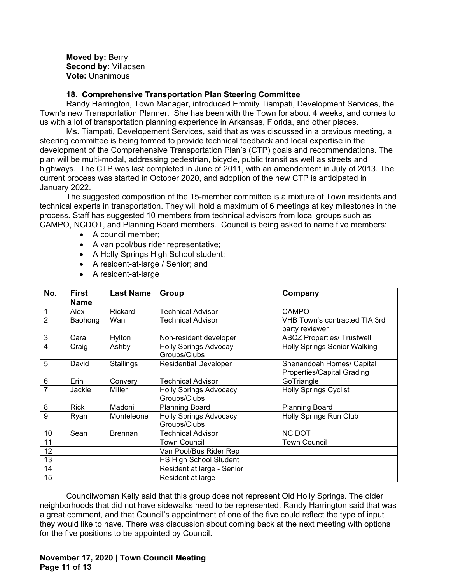**Moved by:** Berry **Second by:** Villadsen **Vote:** Unanimous

## **18. Comprehensive Transportation Plan Steering Committee**

Randy Harrington, Town Manager, introduced Emmily Tiampati, Development Services, the Town's new Transportation Planner. She has been with the Town for about 4 weeks, and comes to us with a lot of transportation planning experience in Arkansas, Florida, and other places.

Ms. Tiampati, Developement Services, said that as was discussed in a previous meeting, a steering committee is being formed to provide technical feedback and local expertise in the development of the Comprehensive Transportation Plan's (CTP) goals and recommendations. The plan will be multi-modal, addressing pedestrian, bicycle, public transit as well as streets and highways. The CTP was last completed in June of 2011, with an amendement in July of 2013. The current process was started in October 2020, and adoption of the new CTP is anticipated in January 2022.

The suggested composition of the 15-member committee is a mixture of Town residents and technical experts in transportation. They will hold a maximum of 6 meetings at key milestones in the process. Staff has suggested 10 members from technical advisors from local groups such as CAMPO, NCDOT, and Planning Board members. Council is being asked to name five members:

- A council member;
- A van pool/bus rider representative;
- A Holly Springs High School student:
- A resident-at-large / Senior; and
- A resident-at-large

| No.            | First       | <b>Last Name</b> | Group                         | Company                             |
|----------------|-------------|------------------|-------------------------------|-------------------------------------|
|                | <b>Name</b> |                  |                               |                                     |
| 1              | Alex        | Rickard          | <b>Technical Advisor</b>      | <b>CAMPO</b>                        |
| $\overline{2}$ | Baohong     | Wan              | <b>Technical Advisor</b>      | VHB Town's contracted TIA 3rd       |
|                |             |                  |                               | party reviewer                      |
| 3              | Cara        | Hylton           | Non-resident developer        | <b>ABCZ Properties/ Trustwell</b>   |
| 4              | Craig       | Ashby            | <b>Holly Springs Advocay</b>  | <b>Holly Springs Senior Walking</b> |
|                |             |                  | Groups/Clubs                  |                                     |
| 5              | David       | <b>Stallings</b> | <b>Residential Developer</b>  | Shenandoah Homes/ Capital           |
|                |             |                  |                               | <b>Properties/Capital Grading</b>   |
| 6              | Erin        | Convery          | <b>Technical Advisor</b>      | GoTriangle                          |
| 7              | Jackie      | Miller           | <b>Holly Springs Advocacy</b> | <b>Holly Springs Cyclist</b>        |
|                |             |                  | Groups/Clubs                  |                                     |
| 8              | <b>Rick</b> | Madoni           | <b>Planning Board</b>         | <b>Planning Board</b>               |
| 9              | Ryan        | Monteleone       | <b>Holly Springs Advocacy</b> | Holly Springs Run Club              |
|                |             |                  | Groups/Clubs                  |                                     |
| 10             | Sean        | <b>Brennan</b>   | <b>Technical Advisor</b>      | <b>NC DOT</b>                       |
| 11             |             |                  | <b>Town Council</b>           | <b>Town Council</b>                 |
| 12             |             |                  | Van Pool/Bus Rider Rep        |                                     |
| 13             |             |                  | HS High School Student        |                                     |
| 14             |             |                  | Resident at large - Senior    |                                     |
| 15             |             |                  | Resident at large             |                                     |

Councilwoman Kelly said that this group does not represent Old Holly Springs. The older neighborhoods that did not have sidewalks need to be represented. Randy Harrington said that was a great comment, and that Council's appointment of one of the five could reflect the type of input they would like to have. There was discussion about coming back at the next meeting with options for the five positions to be appointed by Council.

## **November 17, 2020 | Town Council Meeting Page 11 of 13**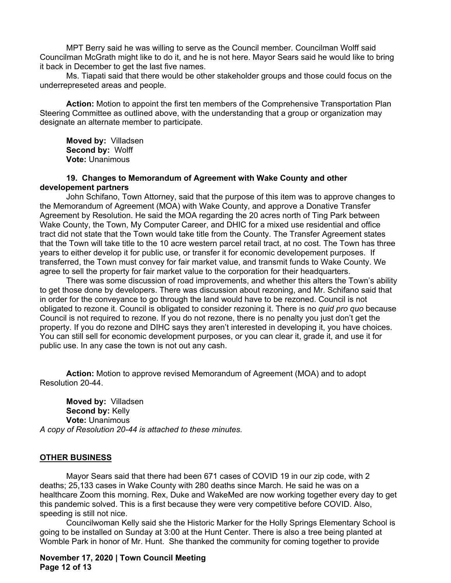MPT Berry said he was willing to serve as the Council member. Councilman Wolff said Councilman McGrath might like to do it, and he is not here. Mayor Sears said he would like to bring it back in December to get the last five names.

Ms. Tiapati said that there would be other stakeholder groups and those could focus on the underrepreseted areas and people.

**Action:** Motion to appoint the first ten members of the Comprehensive Transportation Plan Steering Committee as outlined above, with the understanding that a group or organization may designate an alternate member to participate.

**Moved by:** Villadsen **Second by:** Wolff **Vote:** Unanimous

### **19. Changes to Memorandum of Agreement with Wake County and other developement partners**

John Schifano, Town Attorney, said that the purpose of this item was to approve changes to the Memorandum of Agreement (MOA) with Wake County, and approve a Donative Transfer Agreement by Resolution. He said the MOA regarding the 20 acres north of Ting Park between Wake County, the Town, My Computer Career, and DHIC for a mixed use residential and office tract did not state that the Town would take title from the County. The Transfer Agreement states that the Town will take title to the 10 acre western parcel retail tract, at no cost. The Town has three years to either develop it for public use, or transfer it for economic developement purposes. If transferred, the Town must convey for fair market value, and transmit funds to Wake County. We agree to sell the property for fair market value to the corporation for their headquarters.

There was some discussion of road improvements, and whether this alters the Town's ability to get those done by developers. There was discussion about rezoning, and Mr. Schifano said that in order for the conveyance to go through the land would have to be rezoned. Council is not obligated to rezone it. Council is obligated to consider rezoning it. There is no *quid pro quo* because Council is not required to rezone. If you do not rezone, there is no penalty you just don't get the property. If you do rezone and DIHC says they aren't interested in developing it, you have choices. You can still sell for economic development purposes, or you can clear it, grade it, and use it for public use. In any case the town is not out any cash.

**Action:** Motion to approve revised Memorandum of Agreement (MOA) and to adopt Resolution 20-44.

**Moved by:** Villadsen **Second by:** Kelly **Vote:** Unanimous *A copy of Resolution 20-44 is attached to these minutes.*

### **OTHER BUSINESS**

Mayor Sears said that there had been 671 cases of COVID 19 in our zip code, with 2 deaths; 25,133 cases in Wake County with 280 deaths since March. He said he was on a healthcare Zoom this morning. Rex, Duke and WakeMed are now working together every day to get this pandemic solved. This is a first because they were very competitive before COVID. Also, speeding is still not nice.

Councilwoman Kelly said she the Historic Marker for the Holly Springs Elementary School is going to be installed on Sunday at 3:00 at the Hunt Center. There is also a tree being planted at Womble Park in honor of Mr. Hunt. She thanked the community for coming together to provide

**November 17, 2020 | Town Council Meeting Page 12 of 13**